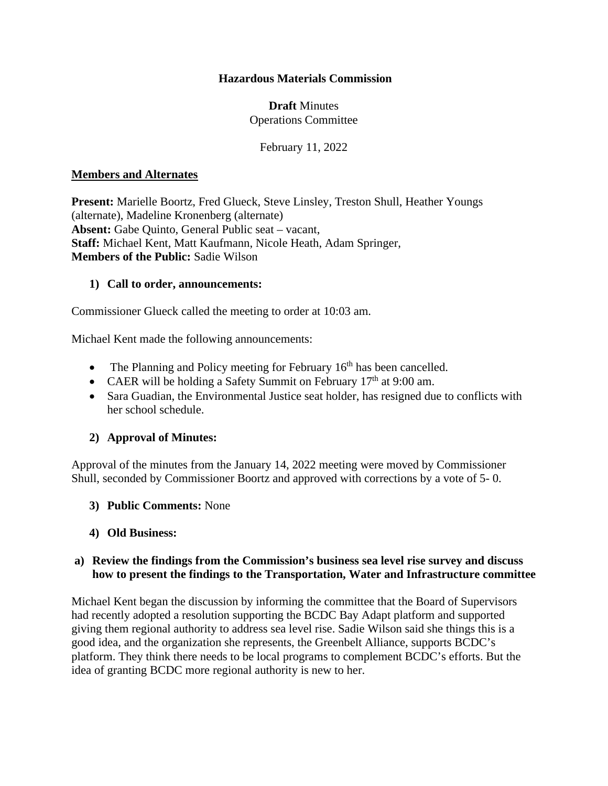## **Hazardous Materials Commission**

## **Draft** Minutes Operations Committee

February 11, 2022

#### **Members and Alternates**

**Present:** Marielle Boortz, Fred Glueck, Steve Linsley, Treston Shull, Heather Youngs (alternate), Madeline Kronenberg (alternate) **Absent:** Gabe Quinto, General Public seat – vacant, **Staff:** Michael Kent, Matt Kaufmann, Nicole Heath, Adam Springer, **Members of the Public:** Sadie Wilson

#### **1) Call to order, announcements:**

Commissioner Glueck called the meeting to order at 10:03 am.

Michael Kent made the following announcements:

- The Planning and Policy meeting for February  $16<sup>th</sup>$  has been cancelled.
- CAER will be holding a Safety Summit on February  $17<sup>th</sup>$  at 9:00 am.
- Sara Guadian, the Environmental Justice seat holder, has resigned due to conflicts with her school schedule.

#### **2) Approval of Minutes:**

Approval of the minutes from the January 14, 2022 meeting were moved by Commissioner Shull, seconded by Commissioner Boortz and approved with corrections by a vote of 5- 0.

**3) Public Comments:** None

#### **4) Old Business:**

#### **a) Review the findings from the Commission's business sea level rise survey and discuss how to present the findings to the Transportation, Water and Infrastructure committee**

Michael Kent began the discussion by informing the committee that the Board of Supervisors had recently adopted a resolution supporting the BCDC Bay Adapt platform and supported giving them regional authority to address sea level rise. Sadie Wilson said she things this is a good idea, and the organization she represents, the Greenbelt Alliance, supports BCDC's platform. They think there needs to be local programs to complement BCDC's efforts. But the idea of granting BCDC more regional authority is new to her.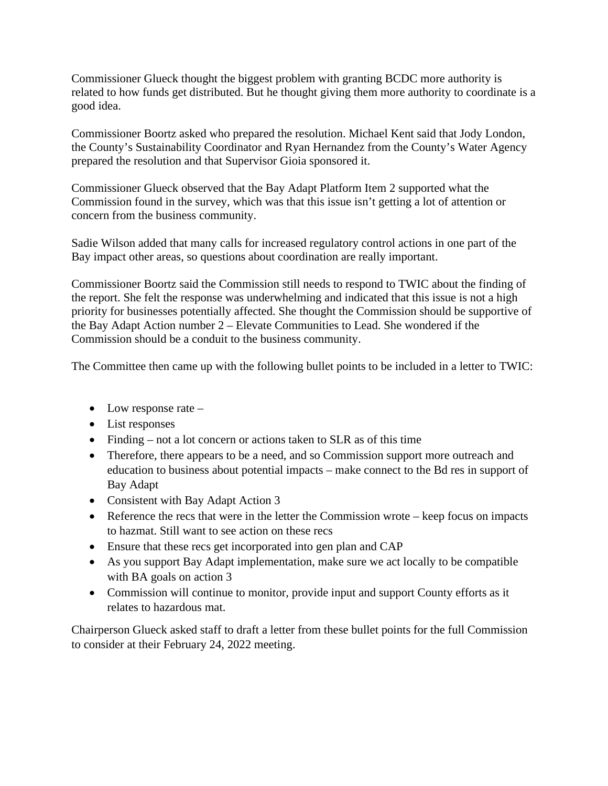Commissioner Glueck thought the biggest problem with granting BCDC more authority is related to how funds get distributed. But he thought giving them more authority to coordinate is a good idea.

Commissioner Boortz asked who prepared the resolution. Michael Kent said that Jody London, the County's Sustainability Coordinator and Ryan Hernandez from the County's Water Agency prepared the resolution and that Supervisor Gioia sponsored it.

Commissioner Glueck observed that the Bay Adapt Platform Item 2 supported what the Commission found in the survey, which was that this issue isn't getting a lot of attention or concern from the business community.

Sadie Wilson added that many calls for increased regulatory control actions in one part of the Bay impact other areas, so questions about coordination are really important.

Commissioner Boortz said the Commission still needs to respond to TWIC about the finding of the report. She felt the response was underwhelming and indicated that this issue is not a high priority for businesses potentially affected. She thought the Commission should be supportive of the Bay Adapt Action number 2 – Elevate Communities to Lead. She wondered if the Commission should be a conduit to the business community.

The Committee then came up with the following bullet points to be included in a letter to TWIC:

- Low response rate –
- List responses
- Finding not a lot concern or actions taken to SLR as of this time
- Therefore, there appears to be a need, and so Commission support more outreach and education to business about potential impacts – make connect to the Bd res in support of Bay Adapt
- Consistent with Bay Adapt Action 3
- Reference the recs that were in the letter the Commission wrote keep focus on impacts to hazmat. Still want to see action on these recs
- Ensure that these recs get incorporated into gen plan and CAP
- As you support Bay Adapt implementation, make sure we act locally to be compatible with BA goals on action 3
- Commission will continue to monitor, provide input and support County efforts as it relates to hazardous mat.

Chairperson Glueck asked staff to draft a letter from these bullet points for the full Commission to consider at their February 24, 2022 meeting.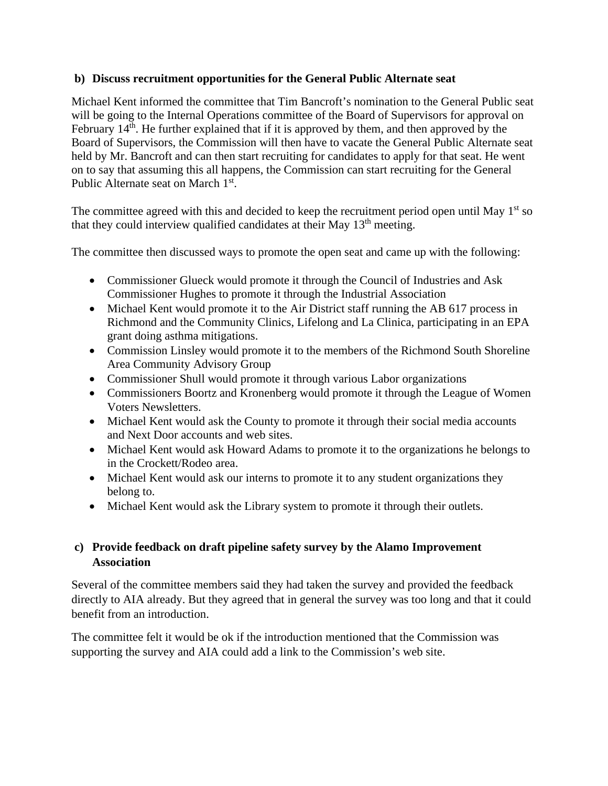## **b) Discuss recruitment opportunities for the General Public Alternate seat**

Michael Kent informed the committee that Tim Bancroft's nomination to the General Public seat will be going to the Internal Operations committee of the Board of Supervisors for approval on February  $14<sup>th</sup>$ . He further explained that if it is approved by them, and then approved by the Board of Supervisors, the Commission will then have to vacate the General Public Alternate seat held by Mr. Bancroft and can then start recruiting for candidates to apply for that seat. He went on to say that assuming this all happens, the Commission can start recruiting for the General Public Alternate seat on March 1st.

The committee agreed with this and decided to keep the recruitment period open until May  $1<sup>st</sup>$  so that they could interview qualified candidates at their May 13<sup>th</sup> meeting.

The committee then discussed ways to promote the open seat and came up with the following:

- Commissioner Glueck would promote it through the Council of Industries and Ask Commissioner Hughes to promote it through the Industrial Association
- Michael Kent would promote it to the Air District staff running the AB 617 process in Richmond and the Community Clinics, Lifelong and La Clinica, participating in an EPA grant doing asthma mitigations.
- Commission Linsley would promote it to the members of the Richmond South Shoreline Area Community Advisory Group
- Commissioner Shull would promote it through various Labor organizations
- Commissioners Boortz and Kronenberg would promote it through the League of Women Voters Newsletters.
- Michael Kent would ask the County to promote it through their social media accounts and Next Door accounts and web sites.
- Michael Kent would ask Howard Adams to promote it to the organizations he belongs to in the Crockett/Rodeo area.
- Michael Kent would ask our interns to promote it to any student organizations they belong to.
- Michael Kent would ask the Library system to promote it through their outlets.

# **c) Provide feedback on draft pipeline safety survey by the Alamo Improvement Association**

Several of the committee members said they had taken the survey and provided the feedback directly to AIA already. But they agreed that in general the survey was too long and that it could benefit from an introduction.

The committee felt it would be ok if the introduction mentioned that the Commission was supporting the survey and AIA could add a link to the Commission's web site.